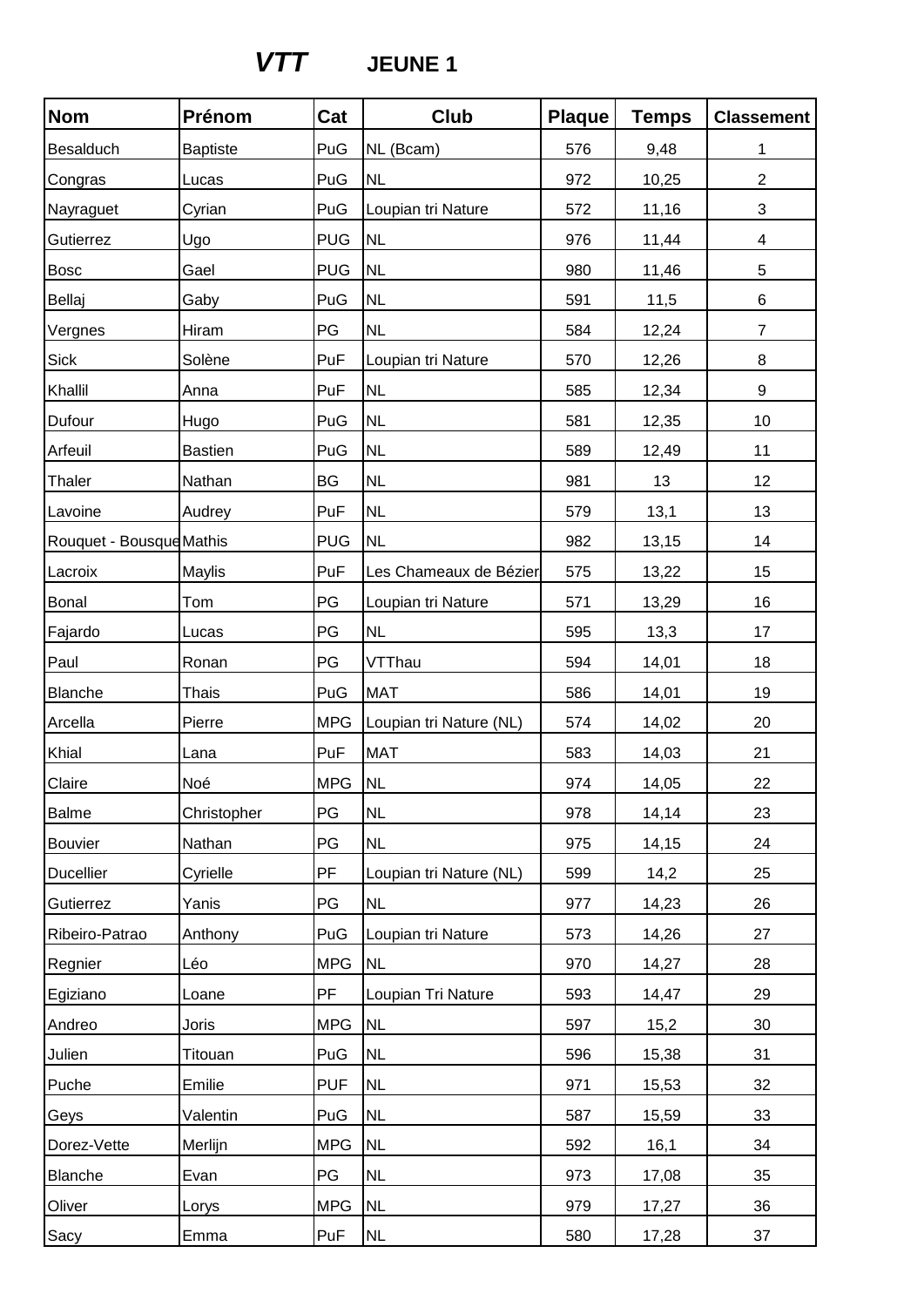## *VTT* **JEUNE 1**

| <b>Nom</b>               | Prénom          | Cat        | Club                    | <b>Plaque</b> | <b>Temps</b> | <b>Classement</b> |
|--------------------------|-----------------|------------|-------------------------|---------------|--------------|-------------------|
| Besalduch                | <b>Baptiste</b> | PuG        | NL (Bcam)               | 576           | 9,48         | 1                 |
| Congras                  | Lucas           | PuG        | <b>NL</b>               | 972           | 10,25        | $\overline{2}$    |
| Nayraguet                | Cyrian          | PuG        | Loupian tri Nature      | 572           | 11,16        | 3                 |
| Gutierrez                | Ugo             | <b>PUG</b> | <b>NL</b>               | 976           | 11,44        | 4                 |
| <b>Bosc</b>              | Gael            | <b>PUG</b> | <b>NL</b>               | 980           | 11,46        | 5                 |
| Bellaj                   | Gaby            | PuG        | <b>NL</b>               | 591           | 11,5         | 6                 |
| Vergnes                  | Hiram           | PG         | <b>NL</b>               | 584           | 12,24        | $\overline{7}$    |
| Sick                     | Solène          | PuF        | Loupian tri Nature      | 570           | 12,26        | 8                 |
| Khallil                  | Anna            | PuF        | <b>NL</b>               | 585           | 12,34        | 9                 |
| Dufour                   | Hugo            | PuG        | <b>NL</b>               | 581           | 12,35        | 10                |
| Arfeuil                  | <b>Bastien</b>  | PuG        | <b>NL</b>               | 589           | 12,49        | 11                |
| Thaler                   | Nathan          | BG         | <b>NL</b>               | 981           | 13           | 12                |
| Lavoine                  | Audrey          | PuF        | <b>NL</b>               | 579           | 13,1         | 13                |
| Rouquet - Bousque Mathis |                 | <b>PUG</b> | <b>NL</b>               | 982           | 13,15        | 14                |
| Lacroix                  | Maylis          | PuF        | Les Chameaux de Bézier  | 575           | 13,22        | 15                |
| <b>Bonal</b>             | Tom             | PG         | Loupian tri Nature      | 571           | 13,29        | 16                |
| Fajardo                  | Lucas           | PG         | <b>NL</b>               | 595           | 13,3         | 17                |
| Paul                     | Ronan           | PG         | VTThau                  | 594           | 14,01        | 18                |
| Blanche                  | <b>Thais</b>    | PuG        | <b>MAT</b>              | 586           | 14,01        | 19                |
| Arcella                  | Pierre          | <b>MPG</b> | Loupian tri Nature (NL) | 574           | 14,02        | 20                |
| Khial                    | Lana            | PuF        | <b>MAT</b>              | 583           | 14,03        | 21                |
| Claire                   | Noé             | <b>MPG</b> | <b>NL</b>               | 974           | 14,05        | 22                |
| <b>Balme</b>             | Christopher     | PG         | <b>NL</b>               | 978           | 14,14        | 23                |
| <b>Bouvier</b>           | Nathan          | PG         | <b>NL</b>               | 975           | 14,15        | 24                |
| <b>Ducellier</b>         | Cyrielle        | PF         | Loupian tri Nature (NL) | 599           | 14,2         | 25                |
| Gutierrez                | Yanis           | PG         | <b>NL</b>               | 977           | 14,23        | 26                |
| Ribeiro-Patrao           | Anthony         | PuG        | Loupian tri Nature      | 573           | 14,26        | 27                |
| Regnier                  | Léo             | <b>MPG</b> | <b>NL</b>               | 970           | 14,27        | 28                |
| Egiziano                 | Loane           | <b>PF</b>  | Loupian Tri Nature      | 593           | 14,47        | 29                |
| Andreo                   | Joris           | <b>MPG</b> | <b>NL</b>               | 597           | 15,2         | 30                |
| Julien                   | Titouan         | PuG        | <b>NL</b>               | 596           | 15,38        | 31                |
| Puche                    | Emilie          | <b>PUF</b> | <b>NL</b>               | 971           | 15,53        | 32                |
| Geys                     | Valentin        | PuG        | <b>NL</b>               | 587           | 15,59        | 33                |
| Dorez-Vette              | Merlijn         | <b>MPG</b> | NL                      | 592           | 16,1         | 34                |
| Blanche                  | Evan            | PG         | <b>NL</b>               | 973           | 17,08        | 35                |
| Oliver                   | Lorys           | <b>MPG</b> | <b>NL</b>               | 979           | 17,27        | 36                |
| Sacy                     | Emma            | PuF        | <b>NL</b>               | 580           | 17,28        | 37                |